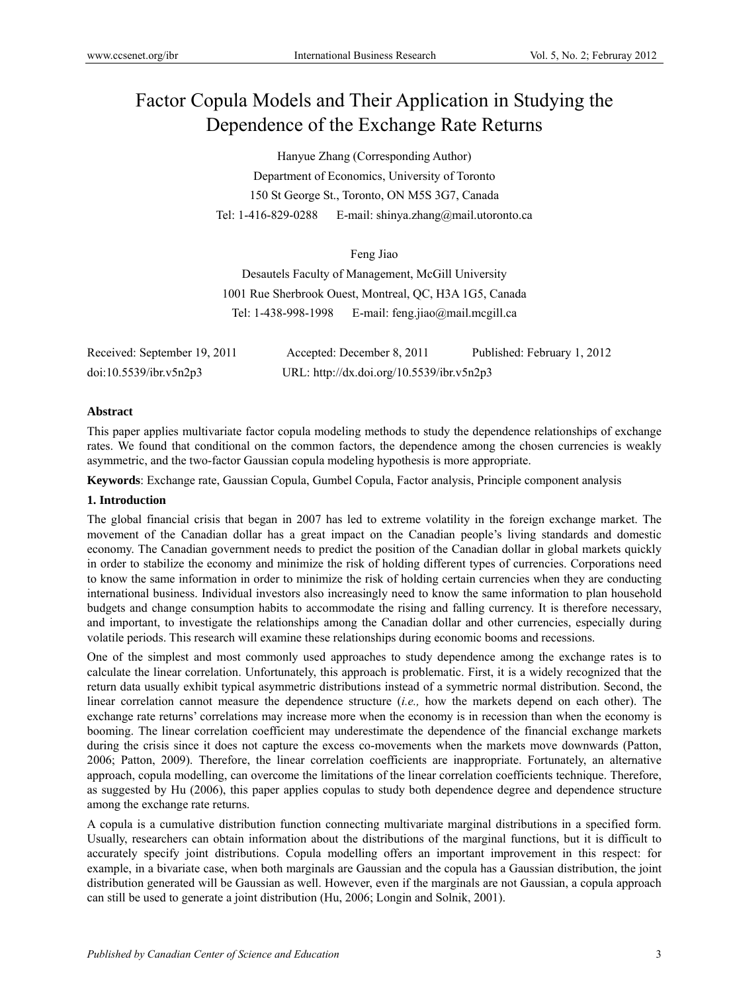# Factor Copula Models and Their Application in Studying the Dependence of the Exchange Rate Returns

Hanyue Zhang (Corresponding Author) Department of Economics, University of Toronto 150 St George St., Toronto, ON M5S 3G7, Canada Tel: 1-416-829-0288 E-mail: shinya.zhang@mail.utoronto.ca

Feng Jiao

Desautels Faculty of Management, McGill University 1001 Rue Sherbrook Ouest, Montreal, QC, H3A 1G5, Canada Tel: 1-438-998-1998 E-mail: feng.jiao@mail.mcgill.ca

| Received: September 19, 2011 | Accepted: December 8, 2011                | Published: February 1, 2012 |
|------------------------------|-------------------------------------------|-----------------------------|
| doi:10.5539/ibr.v5n2p3       | URL: http://dx.doi.org/10.5539/ibr.v5n2p3 |                             |

## **Abstract**

This paper applies multivariate factor copula modeling methods to study the dependence relationships of exchange rates. We found that conditional on the common factors, the dependence among the chosen currencies is weakly asymmetric, and the two-factor Gaussian copula modeling hypothesis is more appropriate.

**Keywords**: Exchange rate, Gaussian Copula, Gumbel Copula, Factor analysis, Principle component analysis

## **1. Introduction**

The global financial crisis that began in 2007 has led to extreme volatility in the foreign exchange market. The movement of the Canadian dollar has a great impact on the Canadian people's living standards and domestic economy. The Canadian government needs to predict the position of the Canadian dollar in global markets quickly in order to stabilize the economy and minimize the risk of holding different types of currencies. Corporations need to know the same information in order to minimize the risk of holding certain currencies when they are conducting international business. Individual investors also increasingly need to know the same information to plan household budgets and change consumption habits to accommodate the rising and falling currency. It is therefore necessary, and important, to investigate the relationships among the Canadian dollar and other currencies, especially during volatile periods. This research will examine these relationships during economic booms and recessions.

One of the simplest and most commonly used approaches to study dependence among the exchange rates is to calculate the linear correlation. Unfortunately, this approach is problematic. First, it is a widely recognized that the return data usually exhibit typical asymmetric distributions instead of a symmetric normal distribution. Second, the linear correlation cannot measure the dependence structure (*i.e.,* how the markets depend on each other). The exchange rate returns' correlations may increase more when the economy is in recession than when the economy is booming. The linear correlation coefficient may underestimate the dependence of the financial exchange markets during the crisis since it does not capture the excess co-movements when the markets move downwards (Patton, 2006; Patton, 2009). Therefore, the linear correlation coefficients are inappropriate. Fortunately, an alternative approach, copula modelling, can overcome the limitations of the linear correlation coefficients technique. Therefore, as suggested by Hu (2006), this paper applies copulas to study both dependence degree and dependence structure among the exchange rate returns.

A copula is a cumulative distribution function connecting multivariate marginal distributions in a specified form. Usually, researchers can obtain information about the distributions of the marginal functions, but it is difficult to accurately specify joint distributions. Copula modelling offers an important improvement in this respect: for example, in a bivariate case, when both marginals are Gaussian and the copula has a Gaussian distribution, the joint distribution generated will be Gaussian as well. However, even if the marginals are not Gaussian, a copula approach can still be used to generate a joint distribution (Hu, 2006; Longin and Solnik, 2001).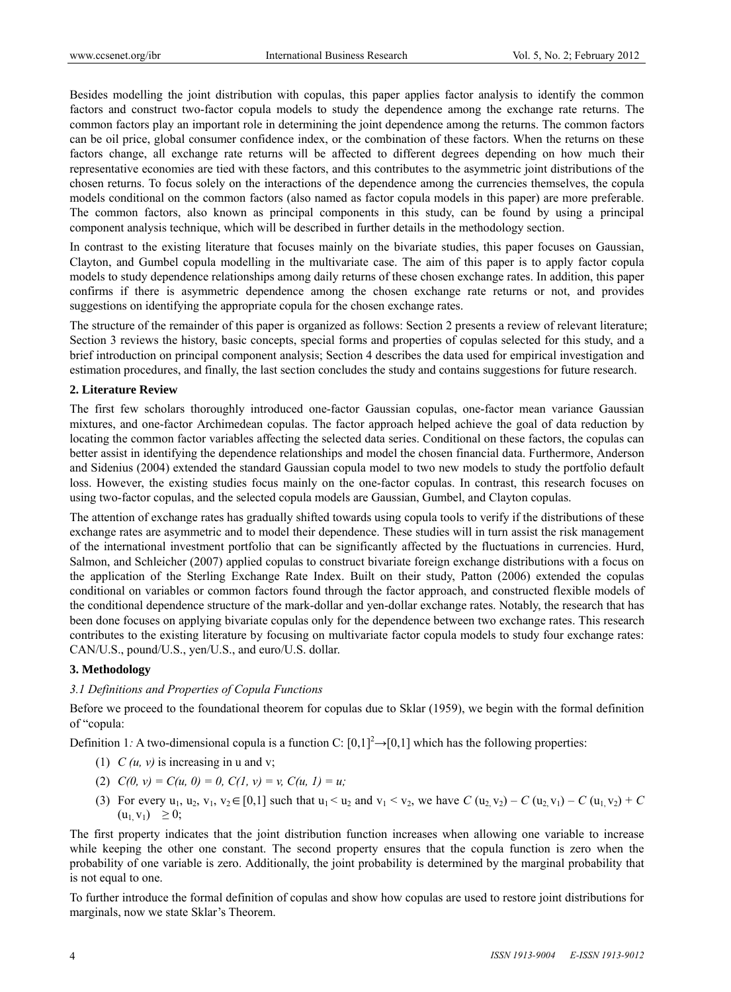Besides modelling the joint distribution with copulas, this paper applies factor analysis to identify the common factors and construct two-factor copula models to study the dependence among the exchange rate returns. The common factors play an important role in determining the joint dependence among the returns. The common factors can be oil price, global consumer confidence index, or the combination of these factors. When the returns on these factors change, all exchange rate returns will be affected to different degrees depending on how much their representative economies are tied with these factors, and this contributes to the asymmetric joint distributions of the chosen returns. To focus solely on the interactions of the dependence among the currencies themselves, the copula models conditional on the common factors (also named as factor copula models in this paper) are more preferable. The common factors, also known as principal components in this study, can be found by using a principal component analysis technique, which will be described in further details in the methodology section.

In contrast to the existing literature that focuses mainly on the bivariate studies, this paper focuses on Gaussian, Clayton, and Gumbel copula modelling in the multivariate case. The aim of this paper is to apply factor copula models to study dependence relationships among daily returns of these chosen exchange rates. In addition, this paper confirms if there is asymmetric dependence among the chosen exchange rate returns or not, and provides suggestions on identifying the appropriate copula for the chosen exchange rates.

The structure of the remainder of this paper is organized as follows: Section 2 presents a review of relevant literature; Section 3 reviews the history, basic concepts, special forms and properties of copulas selected for this study, and a brief introduction on principal component analysis; Section 4 describes the data used for empirical investigation and estimation procedures, and finally, the last section concludes the study and contains suggestions for future research.

## **2. Literature Review**

The first few scholars thoroughly introduced one-factor Gaussian copulas, one-factor mean variance Gaussian mixtures, and one-factor Archimedean copulas. The factor approach helped achieve the goal of data reduction by locating the common factor variables affecting the selected data series. Conditional on these factors, the copulas can better assist in identifying the dependence relationships and model the chosen financial data. Furthermore, Anderson and Sidenius (2004) extended the standard Gaussian copula model to two new models to study the portfolio default loss. However, the existing studies focus mainly on the one-factor copulas. In contrast, this research focuses on using two-factor copulas, and the selected copula models are Gaussian, Gumbel, and Clayton copulas.

The attention of exchange rates has gradually shifted towards using copula tools to verify if the distributions of these exchange rates are asymmetric and to model their dependence. These studies will in turn assist the risk management of the international investment portfolio that can be significantly affected by the fluctuations in currencies. Hurd, Salmon, and Schleicher (2007) applied copulas to construct bivariate foreign exchange distributions with a focus on the application of the Sterling Exchange Rate Index. Built on their study, Patton (2006) extended the copulas conditional on variables or common factors found through the factor approach, and constructed flexible models of the conditional dependence structure of the mark-dollar and yen-dollar exchange rates. Notably, the research that has been done focuses on applying bivariate copulas only for the dependence between two exchange rates. This research contributes to the existing literature by focusing on multivariate factor copula models to study four exchange rates: CAN/U.S., pound/U.S., yen/U.S., and euro/U.S. dollar.

## **3. Methodology**

## *3.1 Definitions and Properties of Copula Functions*

Before we proceed to the foundational theorem for copulas due to Sklar (1959), we begin with the formal definition of "copula:

Definition 1: A two-dimensional copula is a function C:  $[0,1]^2 \rightarrow [0,1]$  which has the following properties:

- (1)  $C(u, v)$  is increasing in u and v;
- (2)  $C(0, v) = C(u, 0) = 0$ ,  $C(1, v) = v$ ,  $C(u, 1) = u$ ;
- (3) For every  $u_1, u_2, v_1, v_2 \in [0,1]$  such that  $u_1 < u_2$  and  $v_1 < v_2$ , we have  $C(u_2, v_2) C(u_2, v_1) C(u_1, v_2) + C(u_2, v_1)$  $(u_1, v_1) \geq 0;$

The first property indicates that the joint distribution function increases when allowing one variable to increase while keeping the other one constant. The second property ensures that the copula function is zero when the probability of one variable is zero. Additionally, the joint probability is determined by the marginal probability that is not equal to one.

To further introduce the formal definition of copulas and show how copulas are used to restore joint distributions for marginals, now we state Sklar's Theorem.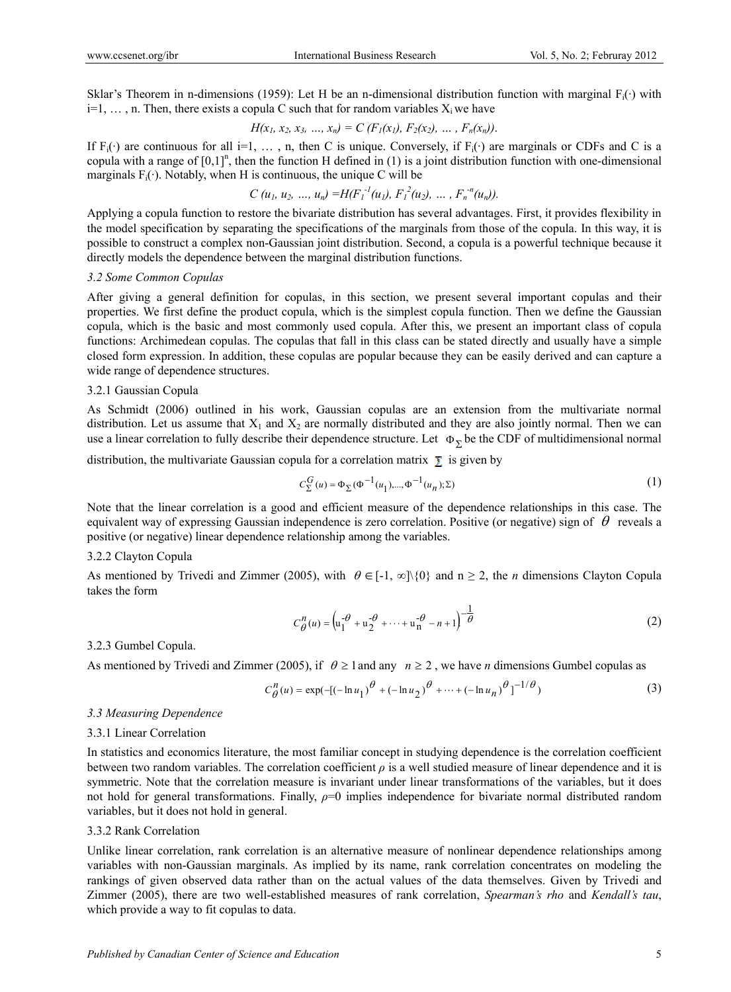Sklar's Theorem in n-dimensions (1959): Let H be an n-dimensional distribution function with marginal  $F_i(\cdot)$  with  $i=1, \ldots, n$ . Then, there exists a copula C such that for random variables  $X_i$  we have

$$
H(x_1, x_2, x_3, ..., x_n) = C(F_1(x_1), F_2(x_2), ..., F_n(x_n)).
$$

If  $F_i(\cdot)$  are continuous for all i=1, ..., n, then C is unique. Conversely, if  $F_i(\cdot)$  are marginals or CDFs and C is a copula with a range of  $[0,1]^n$ , then the function H defined in (1) is a joint distribution function with one-dimensional marginals  $F_i(\cdot)$ . Notably, when H is continuous, the unique C will be

$$
C(u_1, u_2, ..., u_n) = H(F_1^{-1}(u_1), F_1^{-2}(u_2), ..., F_n^{-n}(u_n)).
$$

Applying a copula function to restore the bivariate distribution has several advantages. First, it provides flexibility in the model specification by separating the specifications of the marginals from those of the copula. In this way, it is possible to construct a complex non-Gaussian joint distribution. Second, a copula is a powerful technique because it directly models the dependence between the marginal distribution functions.

#### *3.2 Some Common Copulas*

After giving a general definition for copulas, in this section, we present several important copulas and their properties. We first define the product copula, which is the simplest copula function. Then we define the Gaussian copula, which is the basic and most commonly used copula. After this, we present an important class of copula functions: Archimedean copulas. The copulas that fall in this class can be stated directly and usually have a simple closed form expression. In addition, these copulas are popular because they can be easily derived and can capture a wide range of dependence structures.

## 3.2.1 Gaussian Copula

As Schmidt (2006) outlined in his work, Gaussian copulas are an extension from the multivariate normal distribution. Let us assume that  $X_1$  and  $X_2$  are normally distributed and they are also jointly normal. Then we can use a linear correlation to fully describe their dependence structure. Let  $\Phi_{\Sigma}$  be the CDF of multidimensional normal

distribution, the multivariate Gaussian copula for a correlation matrix  $\Sigma$  is given by

$$
C_{\Sigma}^{G}(u) = \Phi_{\Sigma}(\Phi^{-1}(u_1), ..., \Phi^{-1}(u_n); \Sigma)
$$
\n(1)

Note that the linear correlation is a good and efficient measure of the dependence relationships in this case. The equivalent way of expressing Gaussian independence is zero correlation. Positive (or negative) sign of  $\theta$  reveals a positive (or negative) linear dependence relationship among the variables.

#### 3.2.2 Clayton Copula

As mentioned by Trivedi and Zimmer (2005), with  $\theta \in [-1, \infty] \setminus \{0\}$  and  $n \ge 2$ , the *n* dimensions Clayton Copula takes the form

$$
C_{\theta}^{n}(u) = \left(u_{1}^{-\theta} + u_{2}^{-\theta} + \dots + u_{n}^{-\theta} - n + 1\right)^{-\frac{1}{\theta}}
$$
\n(2)

#### 3.2.3 Gumbel Copula.

As mentioned by Trivedi and Zimmer (2005), if  $\theta \ge 1$  and any  $n \ge 2$ , we have *n* dimensions Gumbel copulas as

$$
C_{\theta}^{n}(u) = \exp(-[(-\ln u_{1})^{\theta} + (-\ln u_{2})^{\theta} + \dots + (-\ln u_{n})^{\theta}]^{-1/\theta})
$$
\n(3)

#### *3.3 Measuring Dependence*

#### 3.3.1 Linear Correlation

In statistics and economics literature, the most familiar concept in studying dependence is the correlation coefficient between two random variables. The correlation coefficient  $\rho$  is a well studied measure of linear dependence and it is symmetric. Note that the correlation measure is invariant under linear transformations of the variables, but it does not hold for general transformations. Finally, *ρ*=0 implies independence for bivariate normal distributed random variables, but it does not hold in general.

#### 3.3.2 Rank Correlation

Unlike linear correlation, rank correlation is an alternative measure of nonlinear dependence relationships among variables with non-Gaussian marginals. As implied by its name, rank correlation concentrates on modeling the rankings of given observed data rather than on the actual values of the data themselves. Given by Trivedi and Zimmer (2005), there are two well-established measures of rank correlation, *Spearman's rho* and *Kendall's tau*, which provide a way to fit copulas to data.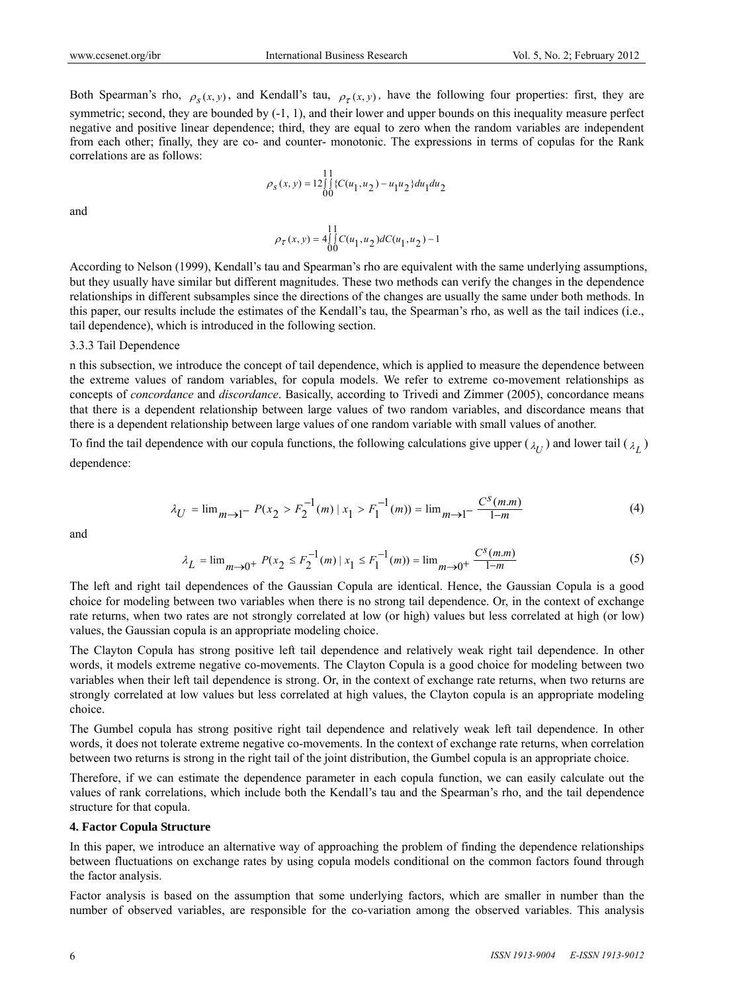Both Spearman's rho,  $\rho_s(x, y)$ , and Kendall's tau,  $\rho_t(x, y)$ , have the following four properties: first, they are symmetric; second, they are bounded by  $(-1, 1)$ , and their lower and upper bounds on this inequality measure perfect negative and positive linear dependence; third, they are equal to zero when the random variables are independent from each other; finally, they are co- and counter- monotonic. The expressions in terms of copulas for the Rank correlations are as follows:

$$
\rho_{s}(x,y)=\underset{00}{\underset{12}{11}}\underset{1}{\overset{11}{\int}}\{C(u_{1},u_{2})-u_{1}u_{2}\}du_{1}du_{2}
$$

and

$$
\rho_\tau(x,y) = 4 \smallint_{0}^{11} C(u_1,u_2) dC(u_1,u_2) - 1
$$

According to Nelson (1999), Kendall's tau and Spearman's rho are equivalent with the same underlying assumptions, but they usually have similar but different magnitudes. These two methods can verify the changes in the dependence relationships in different subsamples since the directions of the changes are usually the same under both methods. In this paper, our results include the estimates of the Kendall's tau, the Spearman's rho, as well as the tail indices (i.e., tail dependence), which is introduced in the following section.

#### 3.3.3 Tail Dependence

n this subsection, we introduce the concept of tail dependence, which is applied to measure the dependence between the extreme values of random variables, for copula models. We refer to extreme co-movement relationships as concepts of *concordance* and *discordance*. Basically, according to Trivedi and Zimmer (2005), concordance means that there is a dependent relationship between large values of two random variables, and discordance means that there is a dependent relationship between large values of one random variable with small values of another.

To find the tail dependence with our copula functions, the following calculations give upper  $(\lambda_U)$  and lower tail  $(\lambda_U)$ dependence:

$$
\lambda_U = \lim_{m \to 1^{-}} P(x_2 > F_2^{-1}(m) \mid x_1 > F_1^{-1}(m)) = \lim_{m \to 1^{-}} \frac{C^s(m.m)}{1-m} \tag{4}
$$

and

$$
\lambda_L = \lim_{m \to 0^+} P(x_2 \le F_2^{-1}(m) \mid x_1 \le F_1^{-1}(m)) = \lim_{m \to 0^+} \frac{C^s(m,m)}{1-m}
$$
(5)

The left and right tail dependences of the Gaussian Copula are identical. Hence, the Gaussian Copula is a good choice for modeling between two variables when there is no strong tail dependence. Or, in the context of exchange rate returns, when two rates are not strongly correlated at low (or high) values but less correlated at high (or low) values, the Gaussian copula is an appropriate modeling choice.

The Clayton Copula has strong positive left tail dependence and relatively weak right tail dependence. In other words, it models extreme negative co-movements. The Clayton Copula is a good choice for modeling between two variables when their left tail dependence is strong. Or, in the context of exchange rate returns, when two returns are strongly correlated at low values but less correlated at high values, the Clayton copula is an appropriate modeling choice.

The Gumbel copula has strong positive right tail dependence and relatively weak left tail dependence. In other words, it does not tolerate extreme negative co-movements. In the context of exchange rate returns, when correlation between two returns is strong in the right tail of the joint distribution, the Gumbel copula is an appropriate choice.

Therefore, if we can estimate the dependence parameter in each copula function, we can easily calculate out the values of rank correlations, which include both the Kendall's tau and the Spearman's rho, and the tail dependence structure for that copula.

#### **4. Factor Copula Structure**

In this paper, we introduce an alternative way of approaching the problem of finding the dependence relationships between fluctuations on exchange rates by using copula models conditional on the common factors found through the factor analysis.

Factor analysis is based on the assumption that some underlying factors, which are smaller in number than the number of observed variables, are responsible for the co-variation among the observed variables. This analysis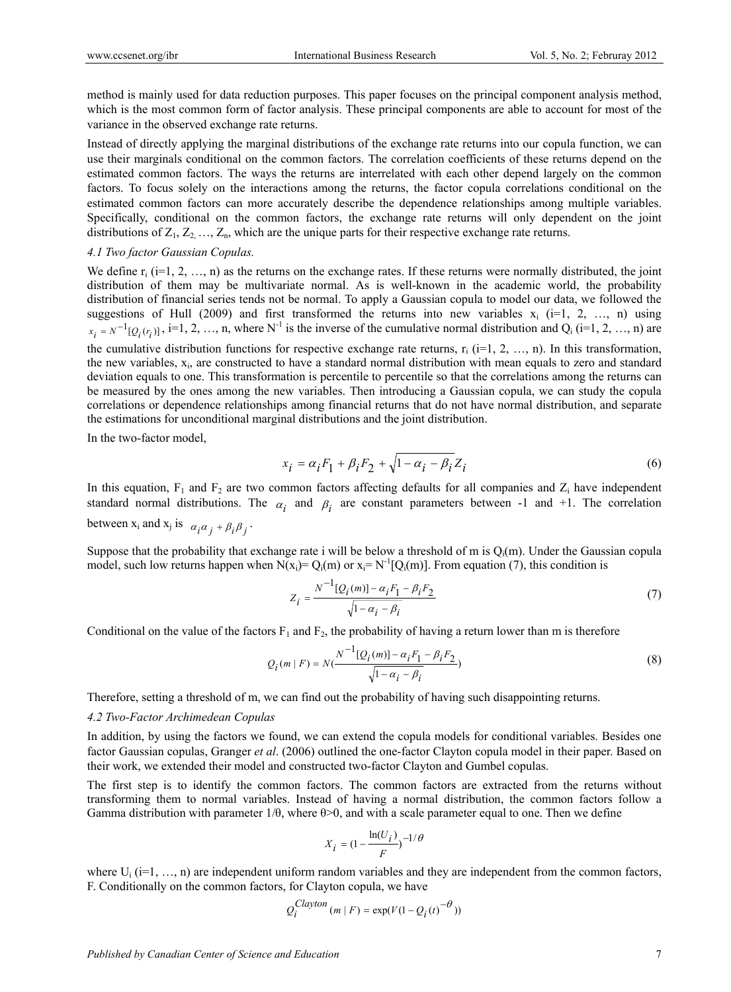method is mainly used for data reduction purposes. This paper focuses on the principal component analysis method, which is the most common form of factor analysis. These principal components are able to account for most of the variance in the observed exchange rate returns.

Instead of directly applying the marginal distributions of the exchange rate returns into our copula function, we can use their marginals conditional on the common factors. The correlation coefficients of these returns depend on the estimated common factors. The ways the returns are interrelated with each other depend largely on the common factors. To focus solely on the interactions among the returns, the factor copula correlations conditional on the estimated common factors can more accurately describe the dependence relationships among multiple variables. Specifically, conditional on the common factors, the exchange rate returns will only dependent on the joint distributions of  $Z_1, Z_2, \ldots, Z_n$ , which are the unique parts for their respective exchange rate returns.

## *4.1 Two factor Gaussian Copulas.*

We define  $r_i$  (i=1, 2, ..., n) as the returns on the exchange rates. If these returns were normally distributed, the joint distribution of them may be multivariate normal. As is well-known in the academic world, the probability distribution of financial series tends not be normal. To apply a Gaussian copula to model our data, we followed the suggestions of Hull (2009) and first transformed the returns into new variables  $x_i$  (i=1, 2, …, n) using  $x_i = N^{-1}[Q_i(r_i)]$ , i=1, 2, …, n, where N<sup>-1</sup> is the inverse of the cumulative normal distribution and Q<sub>i</sub> (i=1, 2, …, n) are the cumulative distribution functions for respective exchange rate returns,  $r_i$  (i=1, 2, ..., n). In this transformation, the new variables, xi, are constructed to have a standard normal distribution with mean equals to zero and standard deviation equals to one. This transformation is percentile to percentile so that the correlations among the returns can be measured by the ones among the new variables. Then introducing a Gaussian copula, we can study the copula correlations or dependence relationships among financial returns that do not have normal distribution, and separate the estimations for unconditional marginal distributions and the joint distribution.

In the two-factor model,

$$
x_i = \alpha_i F_1 + \beta_i F_2 + \sqrt{1 - \alpha_i - \beta_i} Z_i
$$
\n<sup>(6)</sup>

In this equation,  $F_1$  and  $F_2$  are two common factors affecting defaults for all companies and  $Z_i$  have independent standard normal distributions. The  $\alpha_i$  and  $\beta_i$  are constant parameters between -1 and +1. The correlation between  $x_i$  and  $x_j$  is  $\alpha_i \alpha_j + \beta_i \beta_j$ .

Suppose that the probability that exchange rate i will be below a threshold of m is  $Q_i(m)$ . Under the Gaussian copula model, such low returns happen when  $N(x_i) = Q_i(m)$  or  $x_i = N^{-1}[Q_i(m)]$ . From equation (7), this condition is

$$
Z_{i} = \frac{N^{-1}[Q_{i}(m)] - \alpha_{i}F_{1} - \beta_{i}F_{2}}{\sqrt{1 - \alpha_{i} - \beta_{i}}}
$$
(7)

Conditional on the value of the factors  $F_1$  and  $F_2$ , the probability of having a return lower than m is therefore

$$
Q_i(m \mid F) = N(\frac{N^{-1}[Q_i(m)] - \alpha_i F_1 - \beta_i F_2}{\sqrt{1 - \alpha_i - \beta_i}})
$$
\n(8)

Therefore, setting a threshold of m, we can find out the probability of having such disappointing returns.

#### *4.2 Two-Factor Archimedean Copulas*

In addition, by using the factors we found, we can extend the copula models for conditional variables. Besides one factor Gaussian copulas, Granger *et al*. (2006) outlined the one-factor Clayton copula model in their paper. Based on their work, we extended their model and constructed two-factor Clayton and Gumbel copulas.

The first step is to identify the common factors. The common factors are extracted from the returns without transforming them to normal variables. Instead of having a normal distribution, the common factors follow a Gamma distribution with parameter  $1/\theta$ , where  $\theta > 0$ , and with a scale parameter equal to one. Then we define

$$
X_i = (1 - \frac{\ln(U_i)}{F})^{-1/\theta}
$$

where  $U_i$  (i=1, ..., n) are independent uniform random variables and they are independent from the common factors, F. Conditionally on the common factors, for Clayton copula, we have

$$
Q_i^{Clayton} (m | F) = \exp(V(1 - Q_i(t)^{-\theta}))
$$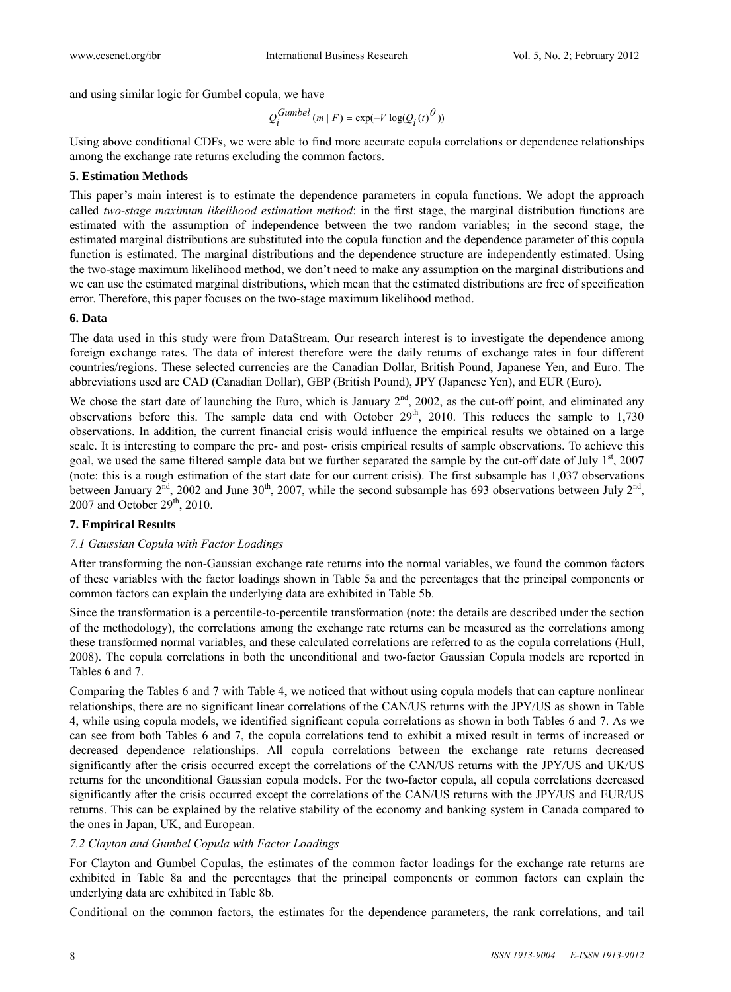and using similar logic for Gumbel copula, we have

$$
Q_i^{Gumbel}(m \mid F) = \exp(-V \log(Q_i(t)^\theta))
$$

Using above conditional CDFs, we were able to find more accurate copula correlations or dependence relationships among the exchange rate returns excluding the common factors.

#### **5. Estimation Methods**

This paper's main interest is to estimate the dependence parameters in copula functions. We adopt the approach called *two-stage maximum likelihood estimation method*: in the first stage, the marginal distribution functions are estimated with the assumption of independence between the two random variables; in the second stage, the estimated marginal distributions are substituted into the copula function and the dependence parameter of this copula function is estimated. The marginal distributions and the dependence structure are independently estimated. Using the two-stage maximum likelihood method, we don't need to make any assumption on the marginal distributions and we can use the estimated marginal distributions, which mean that the estimated distributions are free of specification error. Therefore, this paper focuses on the two-stage maximum likelihood method.

#### **6. Data**

The data used in this study were from DataStream. Our research interest is to investigate the dependence among foreign exchange rates. The data of interest therefore were the daily returns of exchange rates in four different countries/regions. These selected currencies are the Canadian Dollar, British Pound, Japanese Yen, and Euro. The abbreviations used are CAD (Canadian Dollar), GBP (British Pound), JPY (Japanese Yen), and EUR (Euro).

We chose the start date of launching the Euro, which is January  $2<sup>nd</sup>$ , 2002, as the cut-off point, and eliminated any observations before this. The sample data end with October  $29<sup>th</sup>$ , 2010. This reduces the sample to  $1,730$ observations. In addition, the current financial crisis would influence the empirical results we obtained on a large scale. It is interesting to compare the pre- and post- crisis empirical results of sample observations. To achieve this goal, we used the same filtered sample data but we further separated the sample by the cut-off date of July  $1<sup>st</sup>$ , 2007 (note: this is a rough estimation of the start date for our current crisis). The first subsample has 1,037 observations between January  $2<sup>nd</sup>$ , 2002 and June 30<sup>th</sup>, 2007, while the second subsample has 693 observations between July  $2<sup>nd</sup>$ , 2007 and October  $29<sup>th</sup>$ , 2010.

## **7. Empirical Results**

#### *7.1 Gaussian Copula with Factor Loadings*

After transforming the non-Gaussian exchange rate returns into the normal variables, we found the common factors of these variables with the factor loadings shown in Table 5a and the percentages that the principal components or common factors can explain the underlying data are exhibited in Table 5b.

Since the transformation is a percentile-to-percentile transformation (note: the details are described under the section of the methodology), the correlations among the exchange rate returns can be measured as the correlations among these transformed normal variables, and these calculated correlations are referred to as the copula correlations (Hull, 2008). The copula correlations in both the unconditional and two-factor Gaussian Copula models are reported in Tables 6 and 7.

Comparing the Tables 6 and 7 with Table 4, we noticed that without using copula models that can capture nonlinear relationships, there are no significant linear correlations of the CAN/US returns with the JPY/US as shown in Table 4, while using copula models, we identified significant copula correlations as shown in both Tables 6 and 7. As we can see from both Tables 6 and 7, the copula correlations tend to exhibit a mixed result in terms of increased or decreased dependence relationships. All copula correlations between the exchange rate returns decreased significantly after the crisis occurred except the correlations of the CAN/US returns with the JPY/US and UK/US returns for the unconditional Gaussian copula models. For the two-factor copula, all copula correlations decreased significantly after the crisis occurred except the correlations of the CAN/US returns with the JPY/US and EUR/US returns. This can be explained by the relative stability of the economy and banking system in Canada compared to the ones in Japan, UK, and European.

#### *7.2 Clayton and Gumbel Copula with Factor Loadings*

For Clayton and Gumbel Copulas, the estimates of the common factor loadings for the exchange rate returns are exhibited in Table 8a and the percentages that the principal components or common factors can explain the underlying data are exhibited in Table 8b.

Conditional on the common factors, the estimates for the dependence parameters, the rank correlations, and tail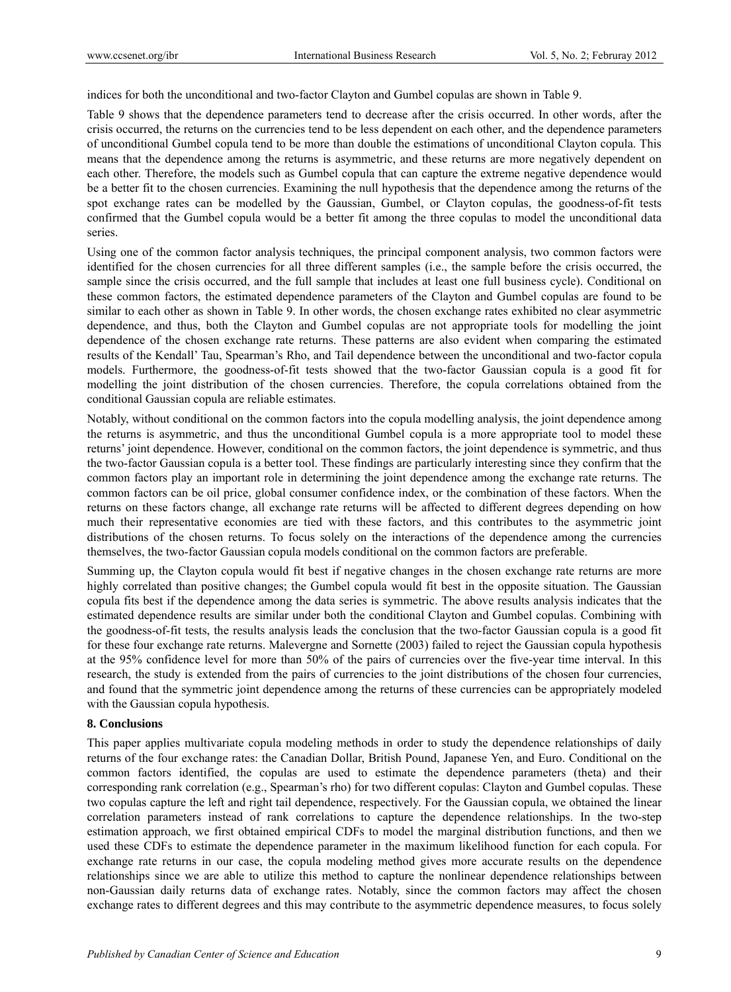indices for both the unconditional and two-factor Clayton and Gumbel copulas are shown in Table 9.

Table 9 shows that the dependence parameters tend to decrease after the crisis occurred. In other words, after the crisis occurred, the returns on the currencies tend to be less dependent on each other, and the dependence parameters of unconditional Gumbel copula tend to be more than double the estimations of unconditional Clayton copula. This means that the dependence among the returns is asymmetric, and these returns are more negatively dependent on each other. Therefore, the models such as Gumbel copula that can capture the extreme negative dependence would be a better fit to the chosen currencies. Examining the null hypothesis that the dependence among the returns of the spot exchange rates can be modelled by the Gaussian, Gumbel, or Clayton copulas, the goodness-of-fit tests confirmed that the Gumbel copula would be a better fit among the three copulas to model the unconditional data series.

Using one of the common factor analysis techniques, the principal component analysis, two common factors were identified for the chosen currencies for all three different samples (i.e., the sample before the crisis occurred, the sample since the crisis occurred, and the full sample that includes at least one full business cycle). Conditional on these common factors, the estimated dependence parameters of the Clayton and Gumbel copulas are found to be similar to each other as shown in Table 9. In other words, the chosen exchange rates exhibited no clear asymmetric dependence, and thus, both the Clayton and Gumbel copulas are not appropriate tools for modelling the joint dependence of the chosen exchange rate returns. These patterns are also evident when comparing the estimated results of the Kendall' Tau, Spearman's Rho, and Tail dependence between the unconditional and two-factor copula models. Furthermore, the goodness-of-fit tests showed that the two-factor Gaussian copula is a good fit for modelling the joint distribution of the chosen currencies. Therefore, the copula correlations obtained from the conditional Gaussian copula are reliable estimates.

Notably, without conditional on the common factors into the copula modelling analysis, the joint dependence among the returns is asymmetric, and thus the unconditional Gumbel copula is a more appropriate tool to model these returns' joint dependence. However, conditional on the common factors, the joint dependence is symmetric, and thus the two-factor Gaussian copula is a better tool. These findings are particularly interesting since they confirm that the common factors play an important role in determining the joint dependence among the exchange rate returns. The common factors can be oil price, global consumer confidence index, or the combination of these factors. When the returns on these factors change, all exchange rate returns will be affected to different degrees depending on how much their representative economies are tied with these factors, and this contributes to the asymmetric joint distributions of the chosen returns. To focus solely on the interactions of the dependence among the currencies themselves, the two-factor Gaussian copula models conditional on the common factors are preferable.

Summing up, the Clayton copula would fit best if negative changes in the chosen exchange rate returns are more highly correlated than positive changes; the Gumbel copula would fit best in the opposite situation. The Gaussian copula fits best if the dependence among the data series is symmetric. The above results analysis indicates that the estimated dependence results are similar under both the conditional Clayton and Gumbel copulas. Combining with the goodness-of-fit tests, the results analysis leads the conclusion that the two-factor Gaussian copula is a good fit for these four exchange rate returns. Malevergne and Sornette (2003) failed to reject the Gaussian copula hypothesis at the 95% confidence level for more than 50% of the pairs of currencies over the five-year time interval. In this research, the study is extended from the pairs of currencies to the joint distributions of the chosen four currencies, and found that the symmetric joint dependence among the returns of these currencies can be appropriately modeled with the Gaussian copula hypothesis.

## **8. Conclusions**

This paper applies multivariate copula modeling methods in order to study the dependence relationships of daily returns of the four exchange rates: the Canadian Dollar, British Pound, Japanese Yen, and Euro. Conditional on the common factors identified, the copulas are used to estimate the dependence parameters (theta) and their corresponding rank correlation (e.g., Spearman's rho) for two different copulas: Clayton and Gumbel copulas. These two copulas capture the left and right tail dependence, respectively. For the Gaussian copula, we obtained the linear correlation parameters instead of rank correlations to capture the dependence relationships. In the two-step estimation approach, we first obtained empirical CDFs to model the marginal distribution functions, and then we used these CDFs to estimate the dependence parameter in the maximum likelihood function for each copula. For exchange rate returns in our case, the copula modeling method gives more accurate results on the dependence relationships since we are able to utilize this method to capture the nonlinear dependence relationships between non-Gaussian daily returns data of exchange rates. Notably, since the common factors may affect the chosen exchange rates to different degrees and this may contribute to the asymmetric dependence measures, to focus solely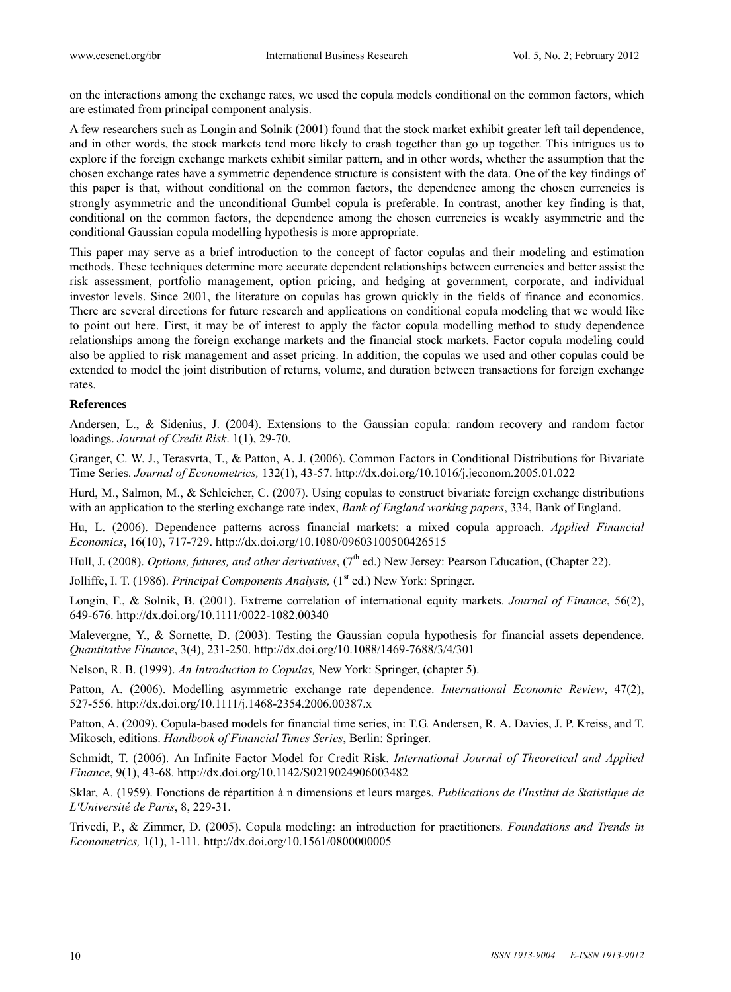on the interactions among the exchange rates, we used the copula models conditional on the common factors, which are estimated from principal component analysis.

A few researchers such as Longin and Solnik (2001) found that the stock market exhibit greater left tail dependence, and in other words, the stock markets tend more likely to crash together than go up together. This intrigues us to explore if the foreign exchange markets exhibit similar pattern, and in other words, whether the assumption that the chosen exchange rates have a symmetric dependence structure is consistent with the data. One of the key findings of this paper is that, without conditional on the common factors, the dependence among the chosen currencies is strongly asymmetric and the unconditional Gumbel copula is preferable. In contrast, another key finding is that, conditional on the common factors, the dependence among the chosen currencies is weakly asymmetric and the conditional Gaussian copula modelling hypothesis is more appropriate.

This paper may serve as a brief introduction to the concept of factor copulas and their modeling and estimation methods. These techniques determine more accurate dependent relationships between currencies and better assist the risk assessment, portfolio management, option pricing, and hedging at government, corporate, and individual investor levels. Since 2001, the literature on copulas has grown quickly in the fields of finance and economics. There are several directions for future research and applications on conditional copula modeling that we would like to point out here. First, it may be of interest to apply the factor copula modelling method to study dependence relationships among the foreign exchange markets and the financial stock markets. Factor copula modeling could also be applied to risk management and asset pricing. In addition, the copulas we used and other copulas could be extended to model the joint distribution of returns, volume, and duration between transactions for foreign exchange rates.

## **References**

Andersen, L., & Sidenius, J. (2004). Extensions to the Gaussian copula: random recovery and random factor loadings. *Journal of Credit Risk*. 1(1), 29-70.

Granger, C. W. J., Terasvrta, T., & Patton, A. J. (2006). Common Factors in Conditional Distributions for Bivariate Time Series. *Journal of Econometrics,* 132(1), 43-57. http://dx.doi.org/10.1016/j.jeconom.2005.01.022

Hurd, M., Salmon, M., & Schleicher, C. (2007). Using copulas to construct bivariate foreign exchange distributions with an application to the sterling exchange rate index, *Bank of England working papers*, 334, Bank of England.

Hu, L. (2006). Dependence patterns across financial markets: a mixed copula approach. *Applied Financial Economics*, 16(10), 717-729. http://dx.doi.org/10.1080/09603100500426515

Hull, J. (2008). *Options, futures, and other derivatives*, (7<sup>th</sup> ed.) New Jersey: Pearson Education, (Chapter 22).

Jolliffe, I. T. (1986). *Principal Components Analysis*, (1<sup>st</sup> ed.) New York: Springer.

Longin, F., & Solnik, B. (2001). Extreme correlation of international equity markets. *Journal of Finance*, 56(2), 649-676. http://dx.doi.org/10.1111/0022-1082.00340

Malevergne, Y., & Sornette, D. (2003). Testing the Gaussian copula hypothesis for financial assets dependence. *Quantitative Finance*, 3(4), 231-250. http://dx.doi.org/10.1088/1469-7688/3/4/301

Nelson, R. B. (1999). *An Introduction to Copulas,* New York: Springer, (chapter 5).

Patton, A. (2006). Modelling asymmetric exchange rate dependence. *International Economic Review*, 47(2), 527-556. http://dx.doi.org/10.1111/j.1468-2354.2006.00387.x

Patton, A. (2009). Copula-based models for financial time series, in: T.G. Andersen, R. A. Davies, J. P. Kreiss, and T. Mikosch, editions. *Handbook of Financial Times Series*, Berlin: Springer.

Schmidt, T. (2006). An Infinite Factor Model for Credit Risk. *International Journal of Theoretical and Applied Finance*, 9(1), 43-68. http://dx.doi.org/10.1142/S0219024906003482

Sklar, A. (1959). Fonctions de répartition à n dimensions et leurs marges. *Publications de l'Institut de Statistique de L'Université de Paris*, 8, 229-31.

Trivedi, P., & Zimmer, D. (2005). Copula modeling: an introduction for practitioners*. Foundations and Trends in Econometrics,* 1(1), 1-111*.* http://dx.doi.org/10.1561/0800000005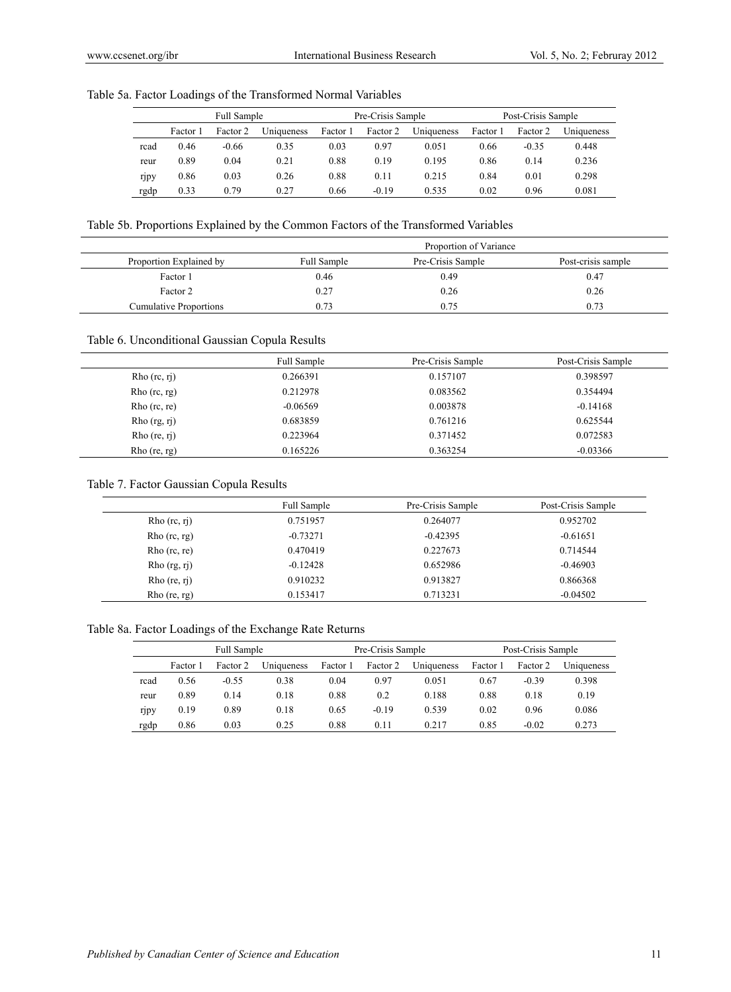| Table 5a. Factor Loadings of the Transformed Normal Variables |  |  |  |  |
|---------------------------------------------------------------|--|--|--|--|
|---------------------------------------------------------------|--|--|--|--|

|      |          | Pre-Crisis Sample<br>Full Sample<br>Post-Crisis Sample |            |          |          |            |          |          |            |
|------|----------|--------------------------------------------------------|------------|----------|----------|------------|----------|----------|------------|
|      | Factor 1 | Factor 2                                               | Uniqueness | Factor 1 | Factor 2 | Uniqueness | Factor 1 | Factor 2 | Uniqueness |
| rcad | 0.46     | $-0.66$                                                | 0.35       | 0.03     | 0.97     | 0.051      | 0.66     | $-0.35$  | 0.448      |
| reur | 0.89     | 0.04                                                   | 0.21       | 0.88     | 0.19     | 0.195      | 0.86     | 0.14     | 0.236      |
| rjpy | 0.86     | 0.03                                                   | 0.26       | 0.88     | 0.11     | 0.215      | 0.84     | 0.01     | 0.298      |
| rgdp | 0.33     | 0.79                                                   | 0.27       | 0.66     | $-0.19$  | 0.535      | 0.02     | 0.96     | 0.081      |

Table 5b. Proportions Explained by the Common Factors of the Transformed Variables

|                               | Proportion of Variance |                   |                    |  |
|-------------------------------|------------------------|-------------------|--------------------|--|
| Proportion Explained by       | Full Sample            | Pre-Crisis Sample | Post-crisis sample |  |
| Factor 1                      | 0.46                   | 0.49              | 0.47               |  |
| Factor 2                      | 0.27                   | 0.26              | 0.26               |  |
| <b>Cumulative Proportions</b> | 0.73                   | 0.75              |                    |  |

## Table 6. Unconditional Gaussian Copula Results

|                | Full Sample | Pre-Crisis Sample | Post-Crisis Sample |
|----------------|-------------|-------------------|--------------------|
| Rho $(rc, rj)$ | 0.266391    | 0.157107          | 0.398597           |
| Rho $(rc, rg)$ | 0.212978    | 0.083562          | 0.354494           |
| $Rho$ (rc, re) | $-0.06569$  | 0.003878          | $-0.14168$         |
| Rho (rg, rj)   | 0.683859    | 0.761216          | 0.625544           |
| Rho $(re, r)$  | 0.223964    | 0.371452          | 0.072583           |
| Rho(re, rg)    | 0.165226    | 0.363254          | $-0.03366$         |

## Table 7. Factor Gaussian Copula Results

|                | Full Sample | Pre-Crisis Sample | Post-Crisis Sample |
|----------------|-------------|-------------------|--------------------|
| Rho $(rc, rj)$ | 0.751957    | 0.264077          | 0.952702           |
| Rho $(rc, rg)$ | $-0.73271$  | $-0.42395$        | $-0.61651$         |
| $Rho$ (rc, re) | 0.470419    | 0.227673          | 0.714544           |
| Rho (rg, rj)   | $-0.12428$  | 0.652986          | $-0.46903$         |
| Rho $(re, r)$  | 0.910232    | 0.913827          | 0.866368           |
| Rho $(re, rg)$ | 0.153417    | 0.713231          | $-0.04502$         |

Table 8a. Factor Loadings of the Exchange Rate Returns

|      | Full Sample |          | Pre-Crisis Sample |          | Post-Crisis Sample |            |          |          |            |
|------|-------------|----------|-------------------|----------|--------------------|------------|----------|----------|------------|
|      | Factor 1    | Factor 2 | Uniqueness        | Factor 1 | Factor 2           | Uniqueness | Factor 1 | Factor 2 | Uniqueness |
| rcad | 0.56        | $-0.55$  | 0.38              | 0.04     | 0.97               | 0.051      | 0.67     | $-0.39$  | 0.398      |
| reur | 0.89        | 0.14     | 0.18              | 0.88     | 0.2                | 0.188      | 0.88     | 0.18     | 0.19       |
| rjpy | 0.19        | 0.89     | 0.18              | 0.65     | $-0.19$            | 0.539      | 0.02     | 0.96     | 0.086      |
| rgdp | 0.86        | 0.03     | 0.25              | 0.88     | 0.11               | 0.217      | 0.85     | $-0.02$  | 0.273      |